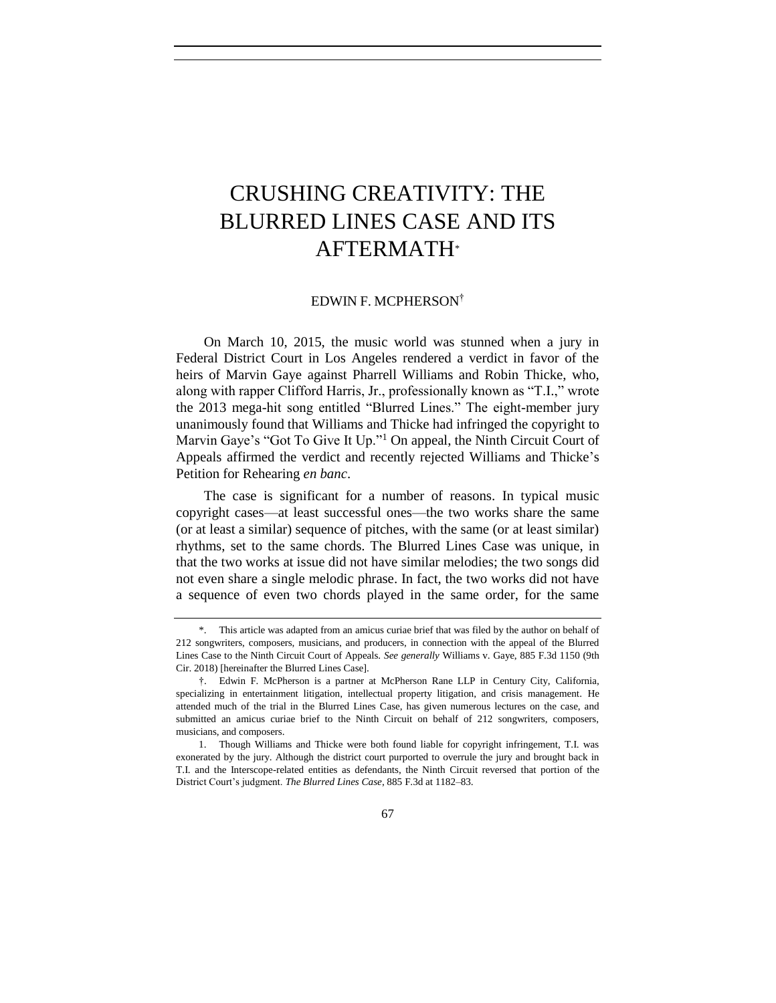# CRUSHING CREATIVITY: THE BLURRED LINES CASE AND ITS AFTERMATH\*

#### EDWIN F. MCPHERSON†

On March 10, 2015, the music world was stunned when a jury in Federal District Court in Los Angeles rendered a verdict in favor of the heirs of Marvin Gaye against Pharrell Williams and Robin Thicke, who, along with rapper Clifford Harris, Jr., professionally known as "T.I.," wrote the 2013 mega-hit song entitled "Blurred Lines." The eight-member jury unanimously found that Williams and Thicke had infringed the copyright to Marvin Gaye's "Got To Give It Up."<sup>1</sup> On appeal, the Ninth Circuit Court of Appeals affirmed the verdict and recently rejected Williams and Thicke's Petition for Rehearing *en banc*.

The case is significant for a number of reasons. In typical music copyright cases—at least successful ones—the two works share the same (or at least a similar) sequence of pitches, with the same (or at least similar) rhythms, set to the same chords. The Blurred Lines Case was unique, in that the two works at issue did not have similar melodies; the two songs did not even share a single melodic phrase. In fact, the two works did not have a sequence of even two chords played in the same order, for the same

<sup>\*.</sup> This article was adapted from an amicus curiae brief that was filed by the author on behalf of 212 songwriters, composers, musicians, and producers, in connection with the appeal of the Blurred Lines Case to the Ninth Circuit Court of Appeals. *See generally* Williams v. Gaye, 885 F.3d 1150 (9th Cir. 2018) [hereinafter the Blurred Lines Case].

<sup>†.</sup> Edwin F. McPherson is a partner at McPherson Rane LLP in Century City, California, specializing in entertainment litigation, intellectual property litigation, and crisis management. He attended much of the trial in the Blurred Lines Case, has given numerous lectures on the case, and submitted an amicus curiae brief to the Ninth Circuit on behalf of 212 songwriters, composers, musicians, and composers.

<sup>1.</sup> Though Williams and Thicke were both found liable for copyright infringement, T.I. was exonerated by the jury. Although the district court purported to overrule the jury and brought back in T.I. and the Interscope-related entities as defendants, the Ninth Circuit reversed that portion of the District Court's judgment. *The Blurred Lines Case*, 885 F.3d at 1182–83.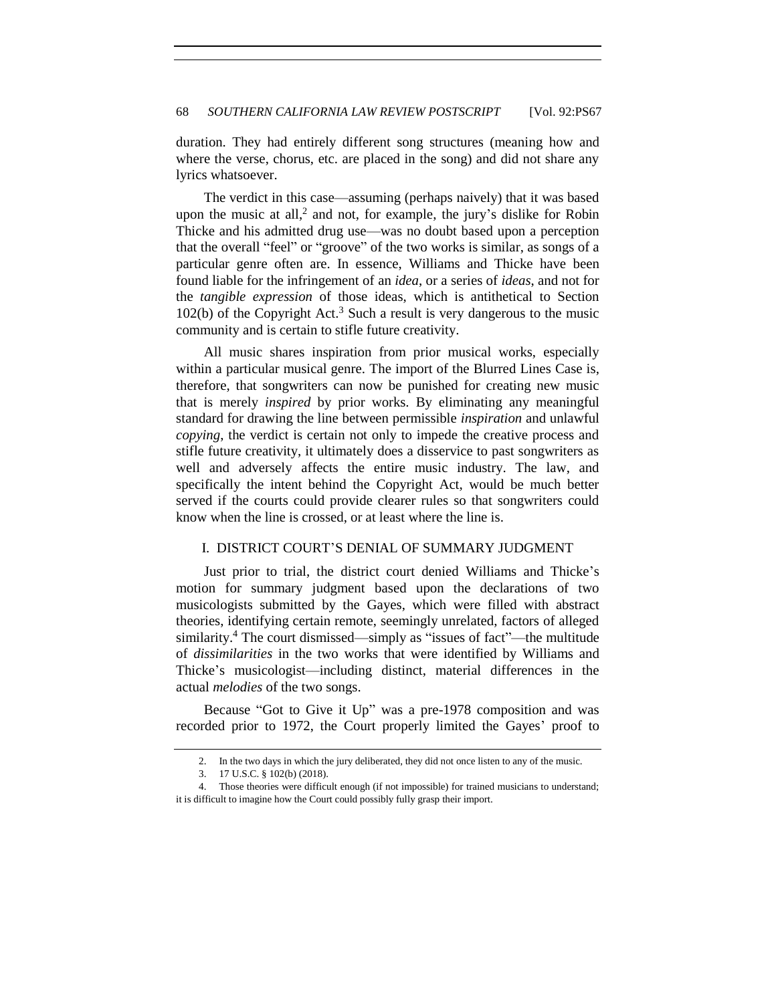duration. They had entirely different song structures (meaning how and where the verse, chorus, etc. are placed in the song) and did not share any lyrics whatsoever.

The verdict in this case—assuming (perhaps naively) that it was based upon the music at all, 2 and not, for example, the jury's dislike for Robin Thicke and his admitted drug use—was no doubt based upon a perception that the overall "feel" or "groove" of the two works is similar, as songs of a particular genre often are. In essence, Williams and Thicke have been found liable for the infringement of an *idea*, or a series of *ideas*, and not for the *tangible expression* of those ideas, which is antithetical to Section 102(b) of the Copyright Act.<sup>3</sup> Such a result is very dangerous to the music community and is certain to stifle future creativity.

All music shares inspiration from prior musical works, especially within a particular musical genre. The import of the Blurred Lines Case is, therefore, that songwriters can now be punished for creating new music that is merely *inspired* by prior works. By eliminating any meaningful standard for drawing the line between permissible *inspiration* and unlawful *copying*, the verdict is certain not only to impede the creative process and stifle future creativity, it ultimately does a disservice to past songwriters as well and adversely affects the entire music industry. The law, and specifically the intent behind the Copyright Act, would be much better served if the courts could provide clearer rules so that songwriters could know when the line is crossed, or at least where the line is.

### I. DISTRICT COURT'S DENIAL OF SUMMARY JUDGMENT

Just prior to trial, the district court denied Williams and Thicke's motion for summary judgment based upon the declarations of two musicologists submitted by the Gayes, which were filled with abstract theories, identifying certain remote, seemingly unrelated, factors of alleged similarity. <sup>4</sup> The court dismissed—simply as "issues of fact"—the multitude of *dissimilarities* in the two works that were identified by Williams and Thicke's musicologist—including distinct, material differences in the actual *melodies* of the two songs.

Because "Got to Give it Up" was a pre-1978 composition and was recorded prior to 1972, the Court properly limited the Gayes' proof to

<sup>2.</sup> In the two days in which the jury deliberated, they did not once listen to any of the music.

<sup>3.</sup> 17 U.S.C. § 102(b) (2018).

<sup>4.</sup> Those theories were difficult enough (if not impossible) for trained musicians to understand; it is difficult to imagine how the Court could possibly fully grasp their import.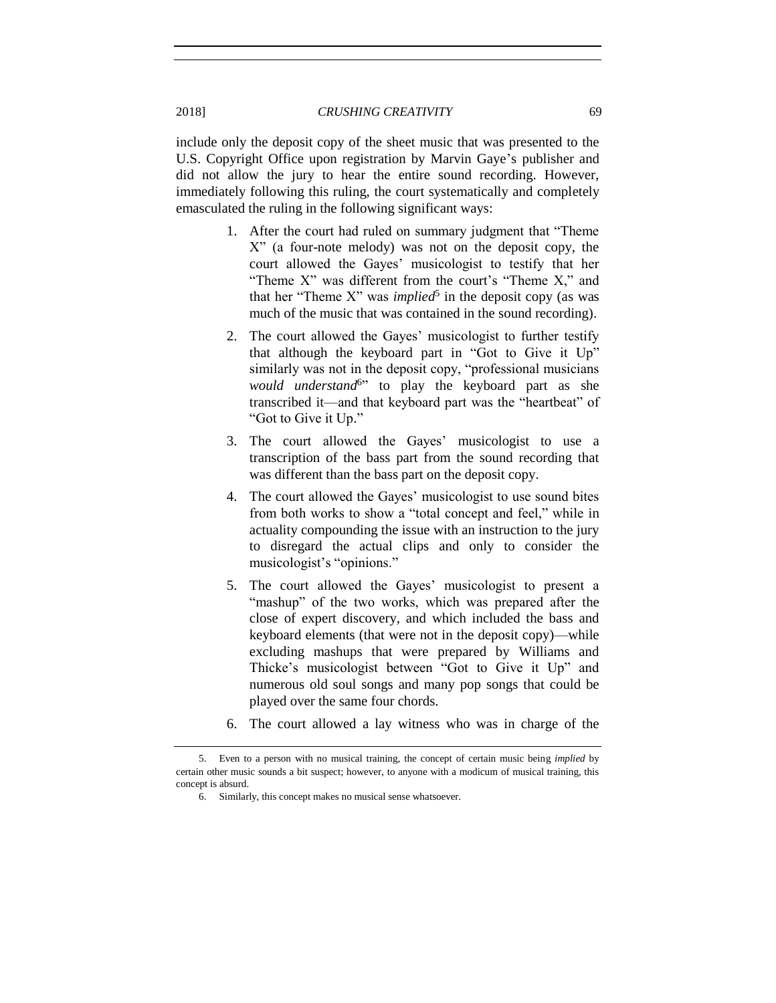include only the deposit copy of the sheet music that was presented to the U.S. Copyright Office upon registration by Marvin Gaye's publisher and did not allow the jury to hear the entire sound recording. However, immediately following this ruling, the court systematically and completely emasculated the ruling in the following significant ways:

- 1. After the court had ruled on summary judgment that "Theme X" (a four-note melody) was not on the deposit copy, the court allowed the Gayes' musicologist to testify that her "Theme X" was different from the court's "Theme X," and that her "Theme X" was *implied*<sup>5</sup> in the deposit copy (as was much of the music that was contained in the sound recording).
- 2. The court allowed the Gayes' musicologist to further testify that although the keyboard part in "Got to Give it Up" similarly was not in the deposit copy, "professional musicians would understand<sup>6</sup><sup>3</sup> to play the keyboard part as she transcribed it—and that keyboard part was the "heartbeat" of "Got to Give it Up."
- 3. The court allowed the Gayes' musicologist to use a transcription of the bass part from the sound recording that was different than the bass part on the deposit copy.
- 4. The court allowed the Gayes' musicologist to use sound bites from both works to show a "total concept and feel," while in actuality compounding the issue with an instruction to the jury to disregard the actual clips and only to consider the musicologist's "opinions."
- 5. The court allowed the Gayes' musicologist to present a "mashup" of the two works, which was prepared after the close of expert discovery, and which included the bass and keyboard elements (that were not in the deposit copy)—while excluding mashups that were prepared by Williams and Thicke's musicologist between "Got to Give it Up" and numerous old soul songs and many pop songs that could be played over the same four chords.
- 6. The court allowed a lay witness who was in charge of the

<sup>5.</sup> Even to a person with no musical training, the concept of certain music being *implied* by certain other music sounds a bit suspect; however, to anyone with a modicum of musical training, this concept is absurd.

<sup>6.</sup> Similarly, this concept makes no musical sense whatsoever.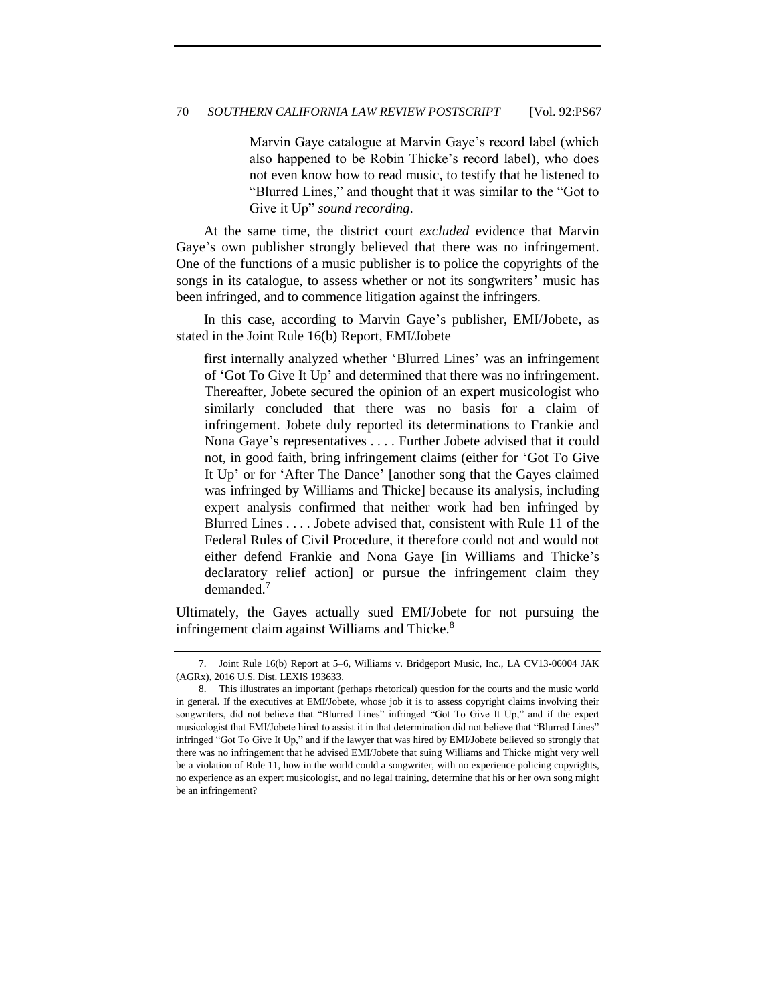Marvin Gaye catalogue at Marvin Gaye's record label (which also happened to be Robin Thicke's record label), who does not even know how to read music, to testify that he listened to "Blurred Lines," and thought that it was similar to the "Got to Give it Up" *sound recording*.

At the same time, the district court *excluded* evidence that Marvin Gaye's own publisher strongly believed that there was no infringement. One of the functions of a music publisher is to police the copyrights of the songs in its catalogue, to assess whether or not its songwriters' music has been infringed, and to commence litigation against the infringers.

In this case, according to Marvin Gaye's publisher, EMI/Jobete, as stated in the Joint Rule 16(b) Report, EMI/Jobete

first internally analyzed whether 'Blurred Lines' was an infringement of 'Got To Give It Up' and determined that there was no infringement. Thereafter, Jobete secured the opinion of an expert musicologist who similarly concluded that there was no basis for a claim of infringement. Jobete duly reported its determinations to Frankie and Nona Gaye's representatives . . . . Further Jobete advised that it could not, in good faith, bring infringement claims (either for 'Got To Give It Up' or for 'After The Dance' [another song that the Gayes claimed was infringed by Williams and Thicke] because its analysis, including expert analysis confirmed that neither work had ben infringed by Blurred Lines . . . . Jobete advised that, consistent with Rule 11 of the Federal Rules of Civil Procedure, it therefore could not and would not either defend Frankie and Nona Gaye [in Williams and Thicke's declaratory relief action] or pursue the infringement claim they demanded<sup>7</sup>

Ultimately, the Gayes actually sued EMI/Jobete for not pursuing the infringement claim against Williams and Thicke.<sup>8</sup>

<sup>7.</sup> Joint Rule 16(b) Report at 5–6, Williams v. Bridgeport Music, Inc., LA CV13-06004 JAK (AGRx), 2016 U.S. Dist. LEXIS 193633.

<sup>8.</sup> This illustrates an important (perhaps rhetorical) question for the courts and the music world in general. If the executives at EMI/Jobete, whose job it is to assess copyright claims involving their songwriters, did not believe that "Blurred Lines" infringed "Got To Give It Up," and if the expert musicologist that EMI/Jobete hired to assist it in that determination did not believe that "Blurred Lines" infringed "Got To Give It Up," and if the lawyer that was hired by EMI/Jobete believed so strongly that there was no infringement that he advised EMI/Jobete that suing Williams and Thicke might very well be a violation of Rule 11, how in the world could a songwriter, with no experience policing copyrights, no experience as an expert musicologist, and no legal training, determine that his or her own song might be an infringement?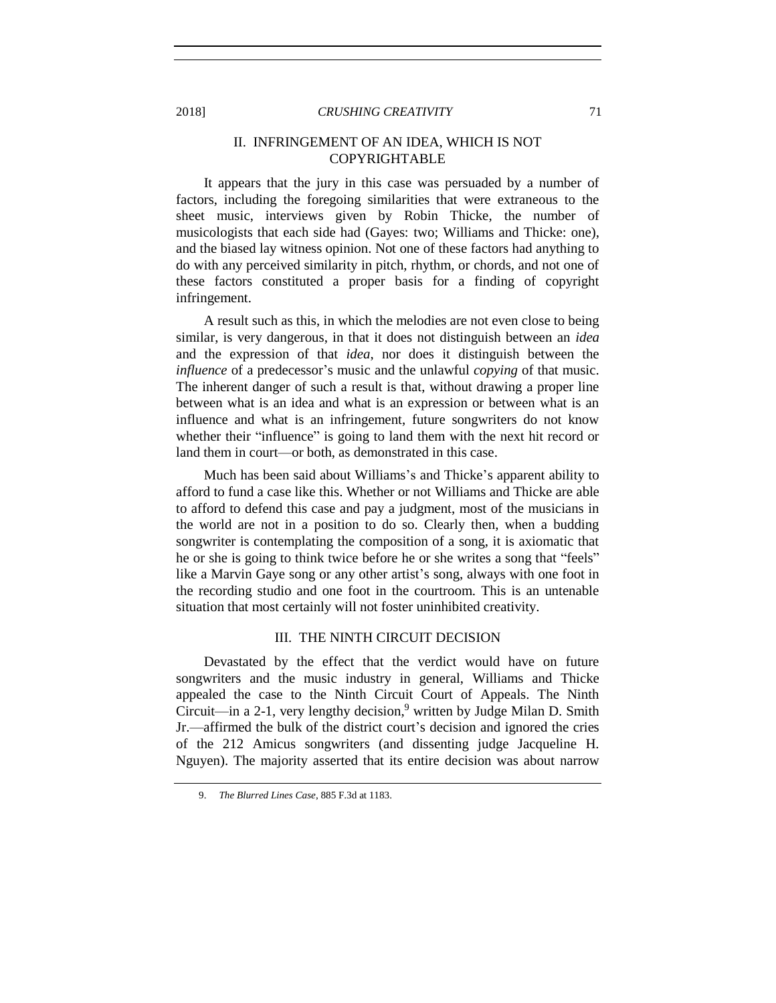# II. INFRINGEMENT OF AN IDEA, WHICH IS NOT COPYRIGHTABLE

It appears that the jury in this case was persuaded by a number of factors, including the foregoing similarities that were extraneous to the sheet music, interviews given by Robin Thicke, the number of musicologists that each side had (Gayes: two; Williams and Thicke: one), and the biased lay witness opinion. Not one of these factors had anything to do with any perceived similarity in pitch, rhythm, or chords, and not one of these factors constituted a proper basis for a finding of copyright infringement.

A result such as this, in which the melodies are not even close to being similar, is very dangerous, in that it does not distinguish between an *idea* and the expression of that *idea*, nor does it distinguish between the *influence* of a predecessor's music and the unlawful *copying* of that music. The inherent danger of such a result is that, without drawing a proper line between what is an idea and what is an expression or between what is an influence and what is an infringement, future songwriters do not know whether their "influence" is going to land them with the next hit record or land them in court—or both, as demonstrated in this case.

Much has been said about Williams's and Thicke's apparent ability to afford to fund a case like this. Whether or not Williams and Thicke are able to afford to defend this case and pay a judgment, most of the musicians in the world are not in a position to do so. Clearly then, when a budding songwriter is contemplating the composition of a song, it is axiomatic that he or she is going to think twice before he or she writes a song that "feels" like a Marvin Gaye song or any other artist's song, always with one foot in the recording studio and one foot in the courtroom. This is an untenable situation that most certainly will not foster uninhibited creativity.

## III. THE NINTH CIRCUIT DECISION

Devastated by the effect that the verdict would have on future songwriters and the music industry in general, Williams and Thicke appealed the case to the Ninth Circuit Court of Appeals. The Ninth Circuit—in a 2-1, very lengthy decision,<sup>9</sup> written by Judge Milan D. Smith Jr.—affirmed the bulk of the district court's decision and ignored the cries of the 212 Amicus songwriters (and dissenting judge Jacqueline H. Nguyen). The majority asserted that its entire decision was about narrow

<sup>9.</sup> *The Blurred Lines Case*, 885 F.3d at 1183.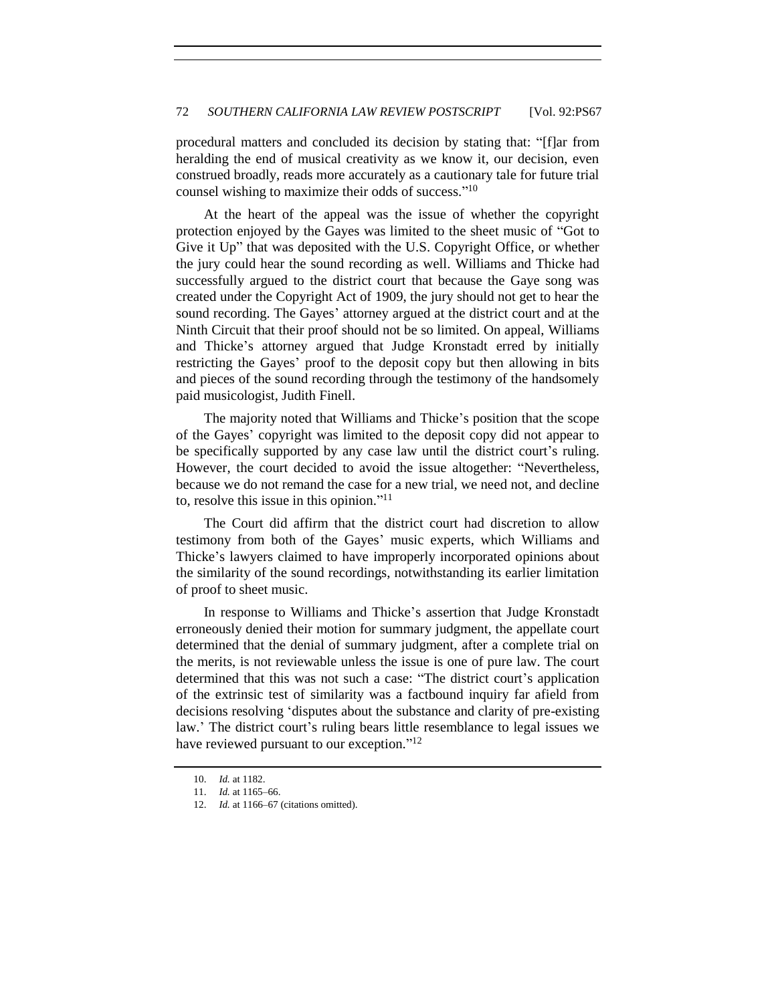procedural matters and concluded its decision by stating that: "[f]ar from heralding the end of musical creativity as we know it, our decision, even construed broadly, reads more accurately as a cautionary tale for future trial counsel wishing to maximize their odds of success." 10

At the heart of the appeal was the issue of whether the copyright protection enjoyed by the Gayes was limited to the sheet music of "Got to Give it Up" that was deposited with the U.S. Copyright Office, or whether the jury could hear the sound recording as well. Williams and Thicke had successfully argued to the district court that because the Gaye song was created under the Copyright Act of 1909, the jury should not get to hear the sound recording. The Gayes' attorney argued at the district court and at the Ninth Circuit that their proof should not be so limited. On appeal, Williams and Thicke's attorney argued that Judge Kronstadt erred by initially restricting the Gayes' proof to the deposit copy but then allowing in bits and pieces of the sound recording through the testimony of the handsomely paid musicologist, Judith Finell.

The majority noted that Williams and Thicke's position that the scope of the Gayes' copyright was limited to the deposit copy did not appear to be specifically supported by any case law until the district court's ruling. However, the court decided to avoid the issue altogether: "Nevertheless, because we do not remand the case for a new trial, we need not, and decline to, resolve this issue in this opinion." 11

The Court did affirm that the district court had discretion to allow testimony from both of the Gayes' music experts, which Williams and Thicke's lawyers claimed to have improperly incorporated opinions about the similarity of the sound recordings, notwithstanding its earlier limitation of proof to sheet music.

In response to Williams and Thicke's assertion that Judge Kronstadt erroneously denied their motion for summary judgment, the appellate court determined that the denial of summary judgment, after a complete trial on the merits, is not reviewable unless the issue is one of pure law. The court determined that this was not such a case: "The district court's application of the extrinsic test of similarity was a factbound inquiry far afield from decisions resolving 'disputes about the substance and clarity of pre-existing law.' The district court's ruling bears little resemblance to legal issues we have reviewed pursuant to our exception."<sup>12</sup>

<sup>10.</sup> *Id.* at 1182.

<sup>11.</sup> *Id.* at 1165–66.

<sup>12.</sup> *Id.* at 1166–67 (citations omitted).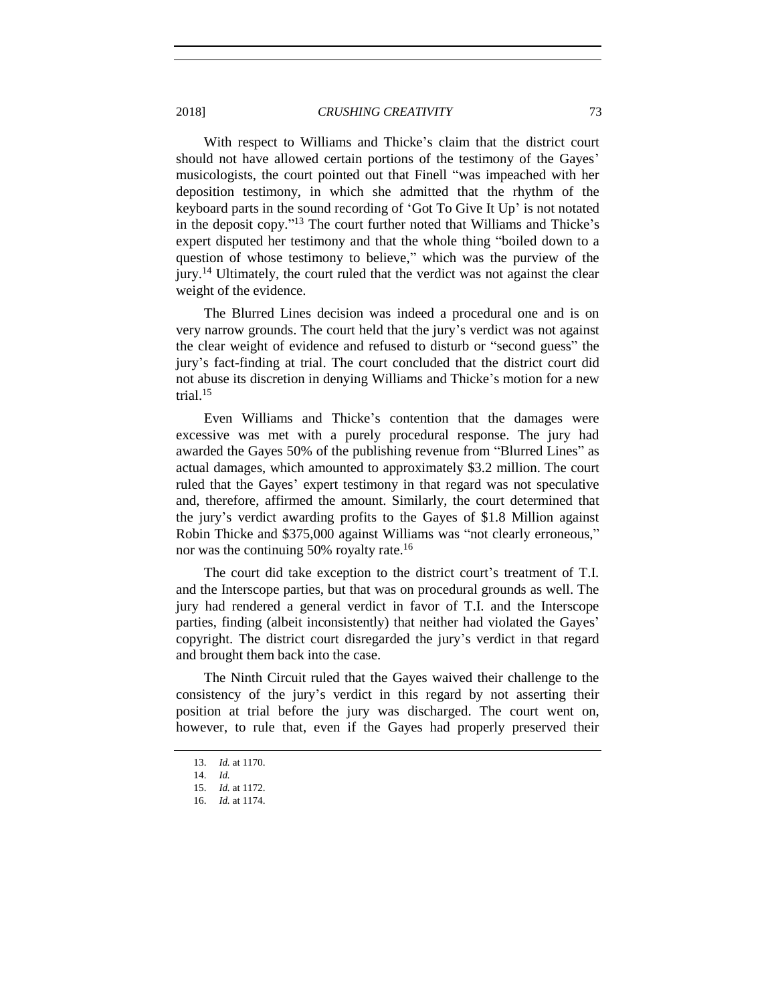With respect to Williams and Thicke's claim that the district court should not have allowed certain portions of the testimony of the Gayes' musicologists, the court pointed out that Finell "was impeached with her deposition testimony, in which she admitted that the rhythm of the keyboard parts in the sound recording of 'Got To Give It Up' is not notated in the deposit copy." <sup>13</sup> The court further noted that Williams and Thicke's expert disputed her testimony and that the whole thing "boiled down to a question of whose testimony to believe," which was the purview of the jury.<sup>14</sup> Ultimately, the court ruled that the verdict was not against the clear weight of the evidence.

The Blurred Lines decision was indeed a procedural one and is on very narrow grounds. The court held that the jury's verdict was not against the clear weight of evidence and refused to disturb or "second guess" the jury's fact-finding at trial. The court concluded that the district court did not abuse its discretion in denying Williams and Thicke's motion for a new trial. $15$ 

Even Williams and Thicke's contention that the damages were excessive was met with a purely procedural response. The jury had awarded the Gayes 50% of the publishing revenue from "Blurred Lines" as actual damages, which amounted to approximately \$3.2 million. The court ruled that the Gayes' expert testimony in that regard was not speculative and, therefore, affirmed the amount. Similarly, the court determined that the jury's verdict awarding profits to the Gayes of \$1.8 Million against Robin Thicke and \$375,000 against Williams was "not clearly erroneous," nor was the continuing 50% royalty rate.<sup>16</sup>

The court did take exception to the district court's treatment of T.I. and the Interscope parties, but that was on procedural grounds as well. The jury had rendered a general verdict in favor of T.I. and the Interscope parties, finding (albeit inconsistently) that neither had violated the Gayes' copyright. The district court disregarded the jury's verdict in that regard and brought them back into the case.

The Ninth Circuit ruled that the Gayes waived their challenge to the consistency of the jury's verdict in this regard by not asserting their position at trial before the jury was discharged. The court went on, however, to rule that, even if the Gayes had properly preserved their

<sup>13.</sup> *Id.* at 1170.

<sup>14.</sup> *Id.*

<sup>15.</sup> *Id.* at 1172.

<sup>16.</sup> *Id.* at 1174.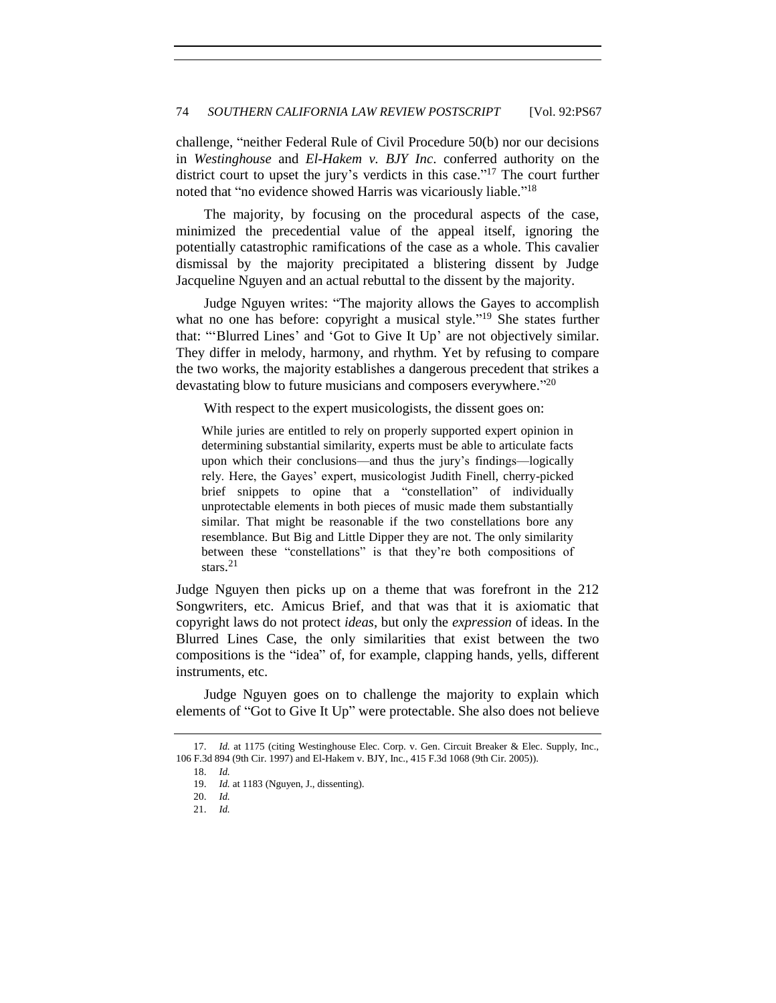challenge, "neither Federal Rule of Civil Procedure 50(b) nor our decisions in *Westinghouse* and *El-Hakem v. BJY Inc*. conferred authority on the district court to upset the jury's verdicts in this case." <sup>17</sup> The court further noted that "no evidence showed Harris was vicariously liable."<sup>18</sup>

The majority, by focusing on the procedural aspects of the case, minimized the precedential value of the appeal itself, ignoring the potentially catastrophic ramifications of the case as a whole. This cavalier dismissal by the majority precipitated a blistering dissent by Judge Jacqueline Nguyen and an actual rebuttal to the dissent by the majority.

Judge Nguyen writes: "The majority allows the Gayes to accomplish what no one has before: copyright a musical style."<sup>19</sup> She states further that: "'Blurred Lines' and 'Got to Give It Up' are not objectively similar. They differ in melody, harmony, and rhythm. Yet by refusing to compare the two works, the majority establishes a dangerous precedent that strikes a devastating blow to future musicians and composers everywhere."<sup>20</sup>

With respect to the expert musicologists, the dissent goes on:

While juries are entitled to rely on properly supported expert opinion in determining substantial similarity, experts must be able to articulate facts upon which their conclusions—and thus the jury's findings—logically rely. Here, the Gayes' expert, musicologist Judith Finell, cherry-picked brief snippets to opine that a "constellation" of individually unprotectable elements in both pieces of music made them substantially similar. That might be reasonable if the two constellations bore any resemblance. But Big and Little Dipper they are not. The only similarity between these "constellations" is that they're both compositions of stars. 21

Judge Nguyen then picks up on a theme that was forefront in the 212 Songwriters, etc. Amicus Brief, and that was that it is axiomatic that copyright laws do not protect *ideas*, but only the *expression* of ideas. In the Blurred Lines Case, the only similarities that exist between the two compositions is the "idea" of, for example, clapping hands, yells, different instruments, etc.

Judge Nguyen goes on to challenge the majority to explain which elements of "Got to Give It Up" were protectable. She also does not believe

<sup>17.</sup> *Id.* at 1175 (citing Westinghouse Elec. Corp. v. Gen. Circuit Breaker & Elec. Supply, Inc., 106 F.3d 894 (9th Cir. 1997) and El-Hakem v. BJY, Inc., 415 F.3d 1068 (9th Cir. 2005)).

<sup>18.</sup> *Id.* 

<sup>19.</sup> *Id.* at 1183 (Nguyen, J., dissenting).

<sup>20.</sup> *Id.* 

<sup>21.</sup> *Id.*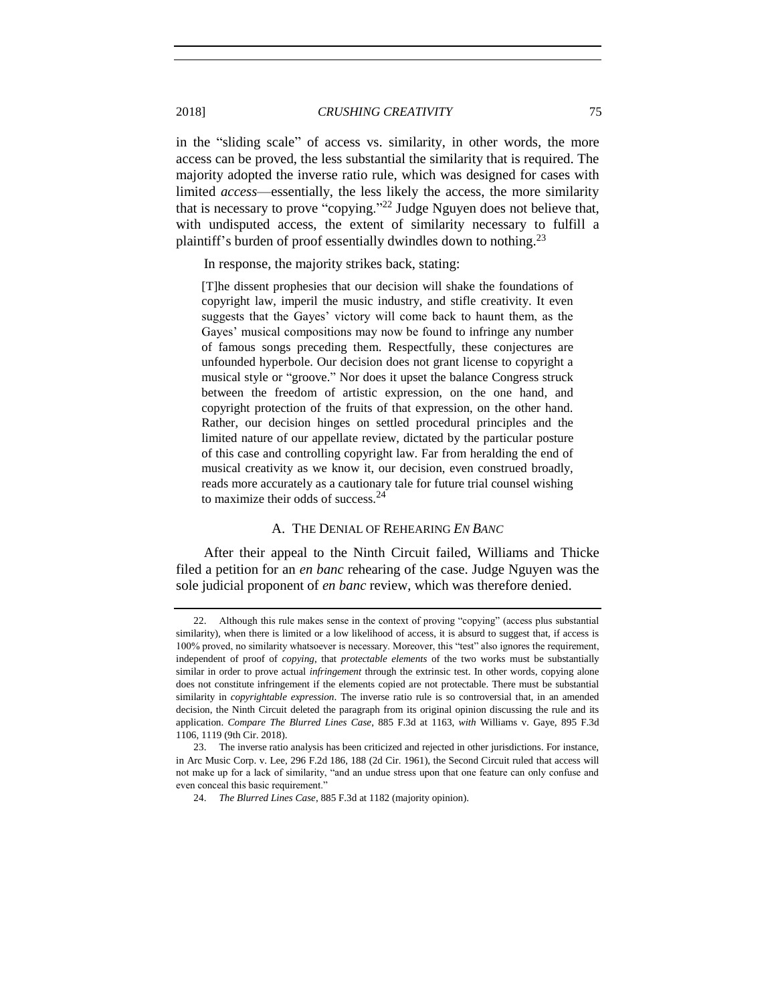in the "sliding scale" of access vs. similarity, in other words, the more access can be proved, the less substantial the similarity that is required. The majority adopted the inverse ratio rule, which was designed for cases with limited *access*—essentially, the less likely the access, the more similarity that is necessary to prove "copying."<sup>22</sup> Judge Nguyen does not believe that, with undisputed access, the extent of similarity necessary to fulfill a plaintiff's burden of proof essentially dwindles down to nothing.<sup>23</sup>

In response, the majority strikes back, stating:

[T]he dissent prophesies that our decision will shake the foundations of copyright law, imperil the music industry, and stifle creativity. It even suggests that the Gayes' victory will come back to haunt them, as the Gayes' musical compositions may now be found to infringe any number of famous songs preceding them. Respectfully, these conjectures are unfounded hyperbole. Our decision does not grant license to copyright a musical style or "groove." Nor does it upset the balance Congress struck between the freedom of artistic expression, on the one hand, and copyright protection of the fruits of that expression, on the other hand. Rather, our decision hinges on settled procedural principles and the limited nature of our appellate review, dictated by the particular posture of this case and controlling copyright law. Far from heralding the end of musical creativity as we know it, our decision, even construed broadly, reads more accurately as a cautionary tale for future trial counsel wishing to maximize their odds of success.<sup>24</sup>

### A. THE DENIAL OF REHEARING *EN BANC*

After their appeal to the Ninth Circuit failed, Williams and Thicke filed a petition for an *en banc* rehearing of the case. Judge Nguyen was the sole judicial proponent of *en banc* review, which was therefore denied.

<sup>22.</sup> Although this rule makes sense in the context of proving "copying" (access plus substantial similarity), when there is limited or a low likelihood of access, it is absurd to suggest that, if access is 100% proved, no similarity whatsoever is necessary. Moreover, this "test" also ignores the requirement, independent of proof of *copying*, that *protectable elements* of the two works must be substantially similar in order to prove actual *infringement* through the extrinsic test. In other words, copying alone does not constitute infringement if the elements copied are not protectable. There must be substantial similarity in *copyrightable expression*. The inverse ratio rule is so controversial that, in an amended decision, the Ninth Circuit deleted the paragraph from its original opinion discussing the rule and its application. *Compare The Blurred Lines Case*, 885 F.3d at 1163, *with* Williams v. Gaye, 895 F.3d 1106, 1119 (9th Cir. 2018).

<sup>23.</sup> The inverse ratio analysis has been criticized and rejected in other jurisdictions. For instance, in Arc Music Corp. v. Lee, 296 F.2d 186, 188 (2d Cir. 1961), the Second Circuit ruled that access will not make up for a lack of similarity, "and an undue stress upon that one feature can only confuse and even conceal this basic requirement."

<sup>24.</sup> *The Blurred Lines Case*, 885 F.3d at 1182 (majority opinion).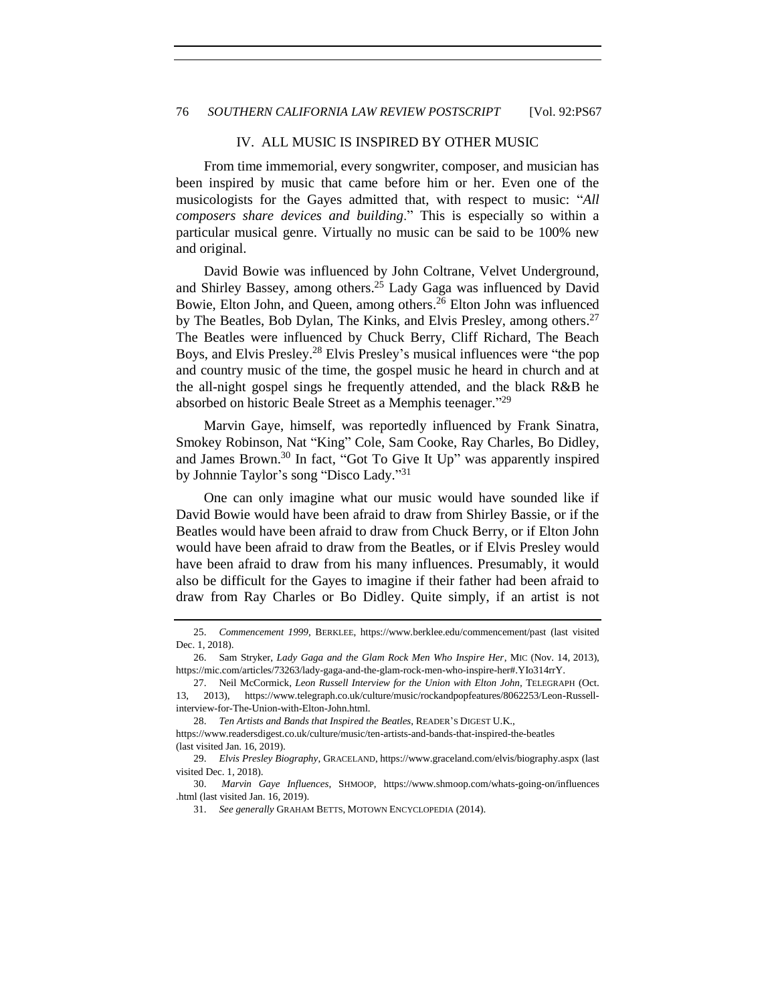#### IV. ALL MUSIC IS INSPIRED BY OTHER MUSIC

From time immemorial, every songwriter, composer, and musician has been inspired by music that came before him or her. Even one of the musicologists for the Gayes admitted that, with respect to music: "*All composers share devices and building*." This is especially so within a particular musical genre. Virtually no music can be said to be 100% new and original.

David Bowie was influenced by John Coltrane, Velvet Underground, and Shirley Bassey, among others.<sup>25</sup> Lady Gaga was influenced by David Bowie, Elton John, and Queen, among others. <sup>26</sup> Elton John was influenced by The Beatles, Bob Dylan, The Kinks, and Elvis Presley, among others.<sup>27</sup> The Beatles were influenced by Chuck Berry, Cliff Richard, The Beach Boys, and Elvis Presley.<sup>28</sup> Elvis Presley's musical influences were "the pop and country music of the time, the gospel music he heard in church and at the all-night gospel sings he frequently attended, and the black R&B he absorbed on historic Beale Street as a Memphis teenager."<sup>29</sup>

Marvin Gaye, himself, was reportedly influenced by Frank Sinatra, Smokey Robinson, Nat "King" Cole, Sam Cooke, Ray Charles, Bo Didley, and James Brown. <sup>30</sup> In fact, "Got To Give It Up" was apparently inspired by Johnnie Taylor's song "Disco Lady." 31

One can only imagine what our music would have sounded like if David Bowie would have been afraid to draw from Shirley Bassie, or if the Beatles would have been afraid to draw from Chuck Berry, or if Elton John would have been afraid to draw from the Beatles, or if Elvis Presley would have been afraid to draw from his many influences. Presumably, it would also be difficult for the Gayes to imagine if their father had been afraid to draw from Ray Charles or Bo Didley. Quite simply, if an artist is not

<sup>25.</sup> *Commencement 1999*, BERKLEE, https://www.berklee.edu/commencement/past (last visited Dec. 1, 2018).

<sup>26.</sup> Sam Stryker, *Lady Gaga and the Glam Rock Men Who Inspire Her*, MIC (Nov. 14, 2013), https://mic.com/articles/73263/lady-gaga-and-the-glam-rock-men-who-inspire-her#.YIo314rrY.

<sup>27.</sup> Neil McCormick, *Leon Russell Interview for the Union with Elton John,* TELEGRAPH (Oct. 13, 2013), https://www.telegraph.co.uk/culture/music/rockandpopfeatures/8062253/Leon-Russellinterview-for-The-Union-with-Elton-John.html.

<sup>28.</sup> *Ten Artists and Bands that Inspired the Beatles*, READER'S DIGEST U.K.,

https://www.readersdigest.co.uk/culture/music/ten-artists-and-bands-that-inspired-the-beatles (last visited Jan. 16, 2019).

<sup>29.</sup> *Elvis Presley Biography*, GRACELAND, https://www.graceland.com/elvis/biography.aspx (last visited Dec. 1, 2018).

<sup>30.</sup> *Marvin Gaye Influences*, SHMOOP, https://www.shmoop.com/whats-going-on/influences .html (last visited Jan. 16, 2019).

<sup>31.</sup> *See generally* GRAHAM BETTS, MOTOWN ENCYCLOPEDIA (2014).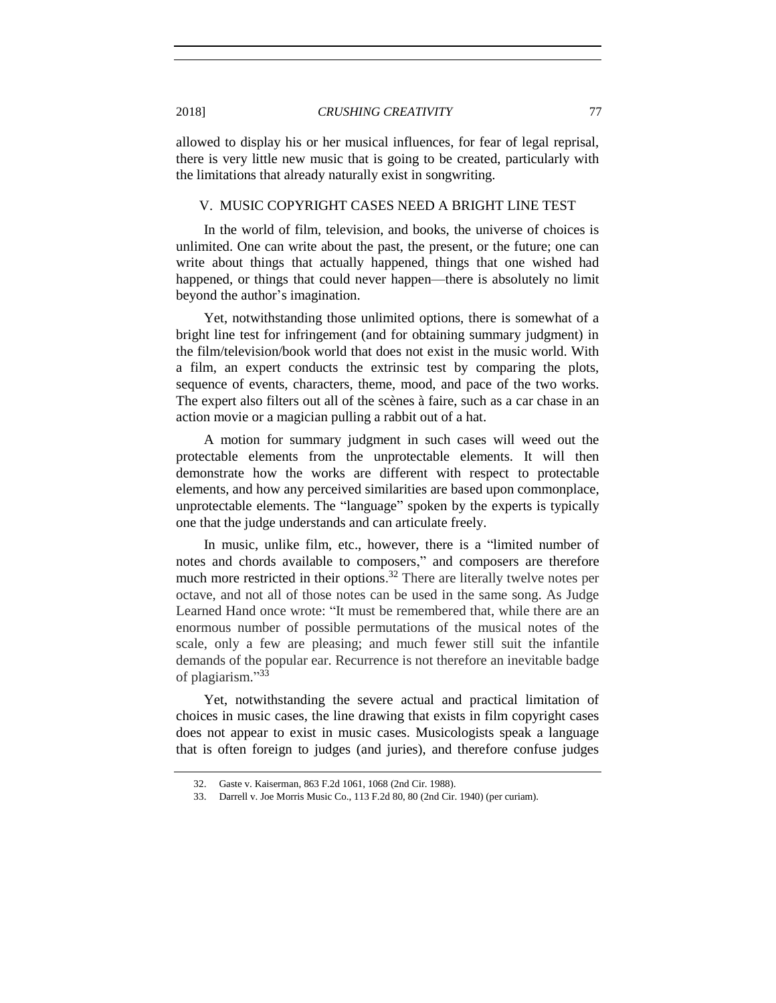allowed to display his or her musical influences, for fear of legal reprisal, there is very little new music that is going to be created, particularly with the limitations that already naturally exist in songwriting.

# V. MUSIC COPYRIGHT CASES NEED A BRIGHT LINE TEST

In the world of film, television, and books, the universe of choices is unlimited. One can write about the past, the present, or the future; one can write about things that actually happened, things that one wished had happened, or things that could never happen—there is absolutely no limit beyond the author's imagination.

Yet, notwithstanding those unlimited options, there is somewhat of a bright line test for infringement (and for obtaining summary judgment) in the film/television/book world that does not exist in the music world. With a film, an expert conducts the extrinsic test by comparing the plots, sequence of events, characters, theme, mood, and pace of the two works. The expert also filters out all of the scènes à faire, such as a car chase in an action movie or a magician pulling a rabbit out of a hat.

A motion for summary judgment in such cases will weed out the protectable elements from the unprotectable elements. It will then demonstrate how the works are different with respect to protectable elements, and how any perceived similarities are based upon commonplace, unprotectable elements. The "language" spoken by the experts is typically one that the judge understands and can articulate freely.

In music, unlike film, etc., however, there is a "limited number of notes and chords available to composers," and composers are therefore much more restricted in their options.<sup>32</sup> There are literally twelve notes per octave, and not all of those notes can be used in the same song. As Judge Learned Hand once wrote: "It must be remembered that, while there are an enormous number of possible permutations of the musical notes of the scale, only a few are pleasing; and much fewer still suit the infantile demands of the popular ear. Recurrence is not therefore an inevitable badge of plagiarism." 33

Yet, notwithstanding the severe actual and practical limitation of choices in music cases, the line drawing that exists in film copyright cases does not appear to exist in music cases. Musicologists speak a language that is often foreign to judges (and juries), and therefore confuse judges

<sup>32.</sup> Gaste v. Kaiserman, 863 F.2d 1061, 1068 (2nd Cir. 1988).

<sup>33.</sup> Darrell v. Joe Morris Music Co., 113 F.2d 80, 80 (2nd Cir. 1940) (per curiam).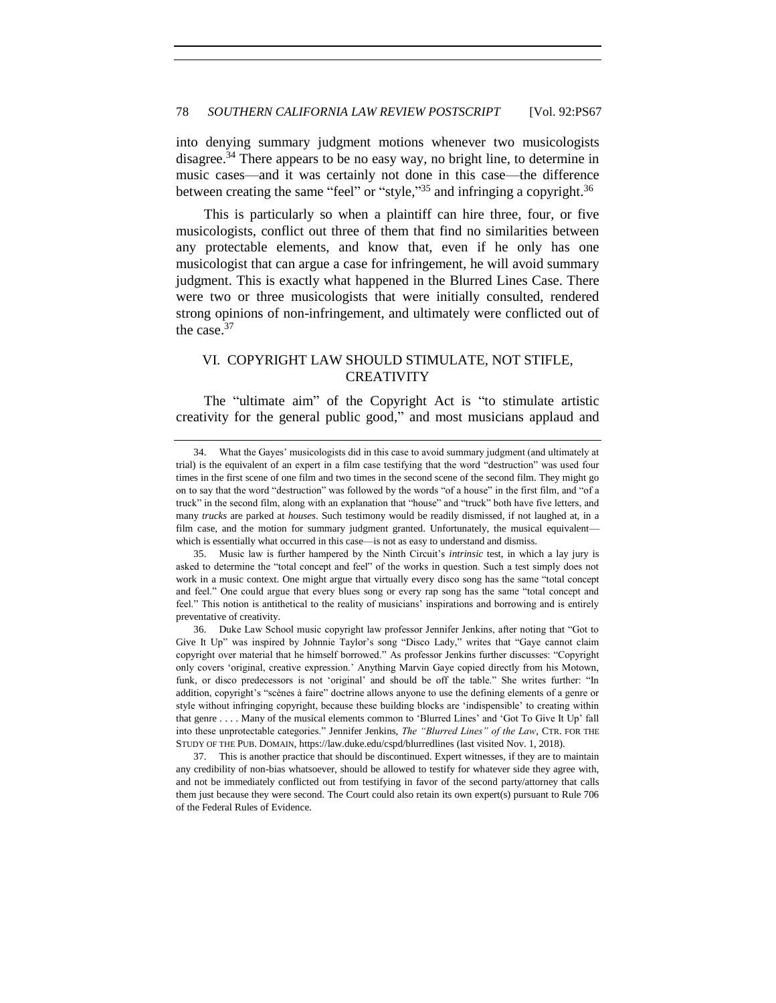into denying summary judgment motions whenever two musicologists disagree.<sup>34</sup> There appears to be no easy way, no bright line, to determine in music cases—and it was certainly not done in this case—the difference between creating the same "feel" or "style,"<sup>35</sup> and infringing a copyright.<sup>36</sup>

This is particularly so when a plaintiff can hire three, four, or five musicologists, conflict out three of them that find no similarities between any protectable elements, and know that, even if he only has one musicologist that can argue a case for infringement, he will avoid summary judgment. This is exactly what happened in the Blurred Lines Case. There were two or three musicologists that were initially consulted, rendered strong opinions of non-infringement, and ultimately were conflicted out of the case.<sup>37</sup>

## VI. COPYRIGHT LAW SHOULD STIMULATE, NOT STIFLE, **CREATIVITY**

The "ultimate aim" of the Copyright Act is "to stimulate artistic creativity for the general public good," and most musicians applaud and

<sup>34.</sup> What the Gayes' musicologists did in this case to avoid summary judgment (and ultimately at trial) is the equivalent of an expert in a film case testifying that the word "destruction" was used four times in the first scene of one film and two times in the second scene of the second film. They might go on to say that the word "destruction" was followed by the words "of a house" in the first film, and "of a truck" in the second film, along with an explanation that "house" and "truck" both have five letters, and many *trucks* are parked at *houses*. Such testimony would be readily dismissed, if not laughed at, in a film case, and the motion for summary judgment granted. Unfortunately, the musical equivalent which is essentially what occurred in this case—is not as easy to understand and dismiss.

<sup>35.</sup> Music law is further hampered by the Ninth Circuit's *intrinsic* test, in which a lay jury is asked to determine the "total concept and feel" of the works in question. Such a test simply does not work in a music context. One might argue that virtually every disco song has the same "total concept and feel." One could argue that every blues song or every rap song has the same "total concept and feel." This notion is antithetical to the reality of musicians' inspirations and borrowing and is entirely preventative of creativity.

<sup>36.</sup> Duke Law School music copyright law professor Jennifer Jenkins, after noting that "Got to Give It Up" was inspired by Johnnie Taylor's song "Disco Lady," writes that "Gaye cannot claim copyright over material that he himself borrowed." As professor Jenkins further discusses: "Copyright only covers 'original, creative expression.' Anything Marvin Gaye copied directly from his Motown, funk, or disco predecessors is not 'original' and should be off the table." She writes further: "In addition, copyright's "scènes à faire" doctrine allows anyone to use the defining elements of a genre or style without infringing copyright, because these building blocks are 'indispensible' to creating within that genre . . . . Many of the musical elements common to 'Blurred Lines' and 'Got To Give It Up' fall into these unprotectable categories." Jennifer Jenkins, *The "Blurred Lines" of the Law*, CTR. FOR THE STUDY OF THE PUB. DOMAIN, https://law.duke.edu/cspd/blurredlines (last visited Nov. 1, 2018).

<sup>37.</sup> This is another practice that should be discontinued. Expert witnesses, if they are to maintain any credibility of non-bias whatsoever, should be allowed to testify for whatever side they agree with, and not be immediately conflicted out from testifying in favor of the second party/attorney that calls them just because they were second. The Court could also retain its own expert(s) pursuant to Rule 706 of the Federal Rules of Evidence.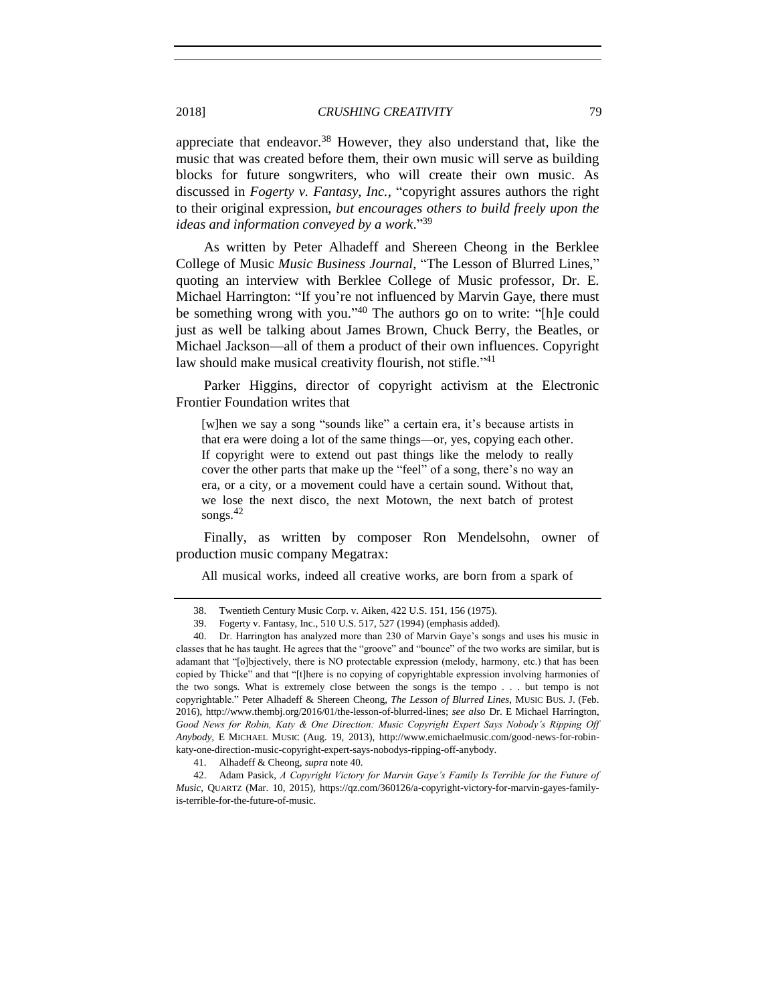appreciate that endeavor.<sup>38</sup> However, they also understand that, like the music that was created before them, their own music will serve as building blocks for future songwriters, who will create their own music. As discussed in *Fogerty v. Fantasy, Inc.*, "copyright assures authors the right to their original expression, *but encourages others to build freely upon the ideas and information conveyed by a work*." 39

<span id="page-12-0"></span>As written by Peter Alhadeff and Shereen Cheong in the Berklee College of Music *Music Business Journal*, "The Lesson of Blurred Lines," quoting an interview with Berklee College of Music professor, Dr. E. Michael Harrington: "If you're not influenced by Marvin Gaye, there must be something wrong with you." <sup>40</sup> The authors go on to write: "[h]e could just as well be talking about James Brown, Chuck Berry, the Beatles, or Michael Jackson—all of them a product of their own influences. Copyright law should make musical creativity flourish, not stifle."<sup>41</sup>

Parker Higgins, director of copyright activism at the Electronic Frontier Foundation writes that

[w]hen we say a song "sounds like" a certain era, it's because artists in that era were doing a lot of the same things—or, yes, copying each other. If copyright were to extend out past things like the melody to really cover the other parts that make up the "feel" of a song, there's no way an era, or a city, or a movement could have a certain sound. Without that, we lose the next disco, the next Motown, the next batch of protest songs. 42

Finally, as written by composer Ron Mendelsohn, owner of production music company Megatrax:

All musical works, indeed all creative works, are born from a spark of

<sup>38.</sup> Twentieth Century Music Corp. v. Aiken, 422 U.S. 151, 156 (1975).

<sup>39.</sup> Fogerty v. Fantasy, Inc., 510 U.S. 517, 527 (1994) (emphasis added).

<sup>40.</sup> Dr. Harrington has analyzed more than 230 of Marvin Gaye's songs and uses his music in classes that he has taught. He agrees that the "groove" and "bounce" of the two works are similar, but is adamant that "[o]bjectively, there is NO protectable expression (melody, harmony, etc.) that has been copied by Thicke" and that "[t]here is no copying of copyrightable expression involving harmonies of the two songs. What is extremely close between the songs is the tempo . . . but tempo is not copyrightable." Peter Alhadeff & Shereen Cheong, *The Lesson of Blurred Lines*, MUSIC BUS. J. (Feb. 2016), http://www.thembj.org/2016/01/the-lesson-of-blurred-lines; *see also* Dr. E Michael Harrington, *Good News for Robin, Katy & One Direction: Music Copyright Expert Says Nobody's Ripping Off Anybody*, E MICHAEL MUSIC (Aug. 19, 2013), http://www.emichaelmusic.com/good-news-for-robinkaty-one-direction-music-copyright-expert-says-nobodys-ripping-off-anybody.

<sup>41.</sup> Alhadeff & Cheong, *supra* not[e 40.](#page-12-0)

<sup>42.</sup> Adam Pasick, *A Copyright Victory for Marvin Gaye's Family Is Terrible for the Future of Music*, QUARTZ (Mar. 10, 2015), https://qz.com/360126/a-copyright-victory-for-marvin-gayes-familyis-terrible-for-the-future-of-music.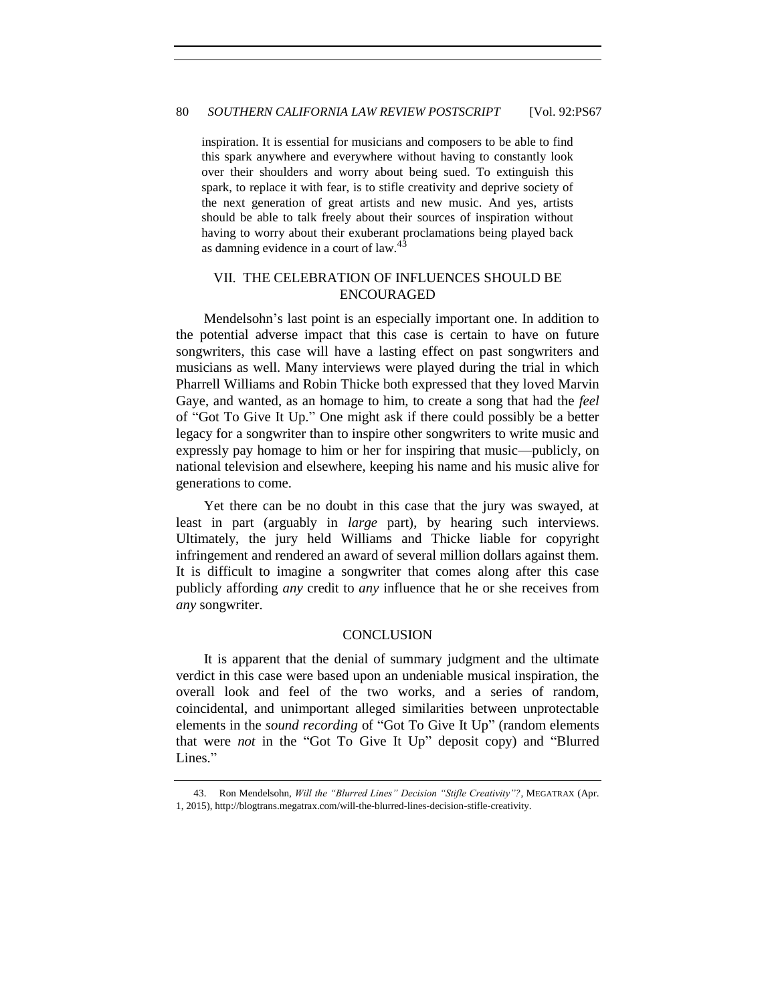inspiration. It is essential for musicians and composers to be able to find this spark anywhere and everywhere without having to constantly look over their shoulders and worry about being sued. To extinguish this spark, to replace it with fear, is to stifle creativity and deprive society of the next generation of great artists and new music. And yes, artists should be able to talk freely about their sources of inspiration without having to worry about their exuberant proclamations being played back as damning evidence in a court of law. $43$ 

# VII. THE CELEBRATION OF INFLUENCES SHOULD BE ENCOURAGED

Mendelsohn's last point is an especially important one. In addition to the potential adverse impact that this case is certain to have on future songwriters, this case will have a lasting effect on past songwriters and musicians as well. Many interviews were played during the trial in which Pharrell Williams and Robin Thicke both expressed that they loved Marvin Gaye, and wanted, as an homage to him, to create a song that had the *feel* of "Got To Give It Up." One might ask if there could possibly be a better legacy for a songwriter than to inspire other songwriters to write music and expressly pay homage to him or her for inspiring that music—publicly, on national television and elsewhere, keeping his name and his music alive for generations to come.

Yet there can be no doubt in this case that the jury was swayed, at least in part (arguably in *large* part), by hearing such interviews. Ultimately, the jury held Williams and Thicke liable for copyright infringement and rendered an award of several million dollars against them. It is difficult to imagine a songwriter that comes along after this case publicly affording *any* credit to *any* influence that he or she receives from *any* songwriter.

#### **CONCLUSION**

It is apparent that the denial of summary judgment and the ultimate verdict in this case were based upon an undeniable musical inspiration, the overall look and feel of the two works, and a series of random, coincidental, and unimportant alleged similarities between unprotectable elements in the *sound recording* of "Got To Give It Up" (random elements that were *not* in the "Got To Give It Up" deposit copy) and "Blurred Lines."

<sup>43.</sup> Ron Mendelsohn, *Will the "Blurred Lines" Decision "Stifle Creativity"?*, MEGATRAX (Apr. 1, 2015), http://blogtrans.megatrax.com/will-the-blurred-lines-decision-stifle-creativity.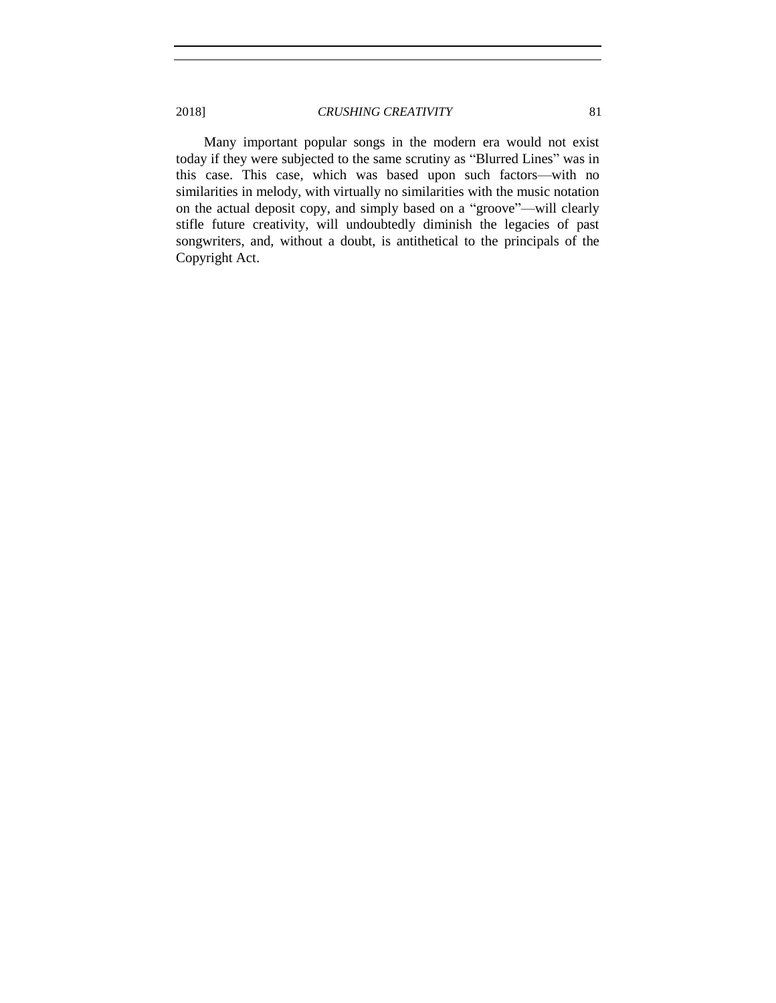Many important popular songs in the modern era would not exist today if they were subjected to the same scrutiny as "Blurred Lines" was in this case. This case, which was based upon such factors—with no similarities in melody, with virtually no similarities with the music notation on the actual deposit copy, and simply based on a "groove"—will clearly stifle future creativity, will undoubtedly diminish the legacies of past songwriters, and, without a doubt, is antithetical to the principals of the Copyright Act.